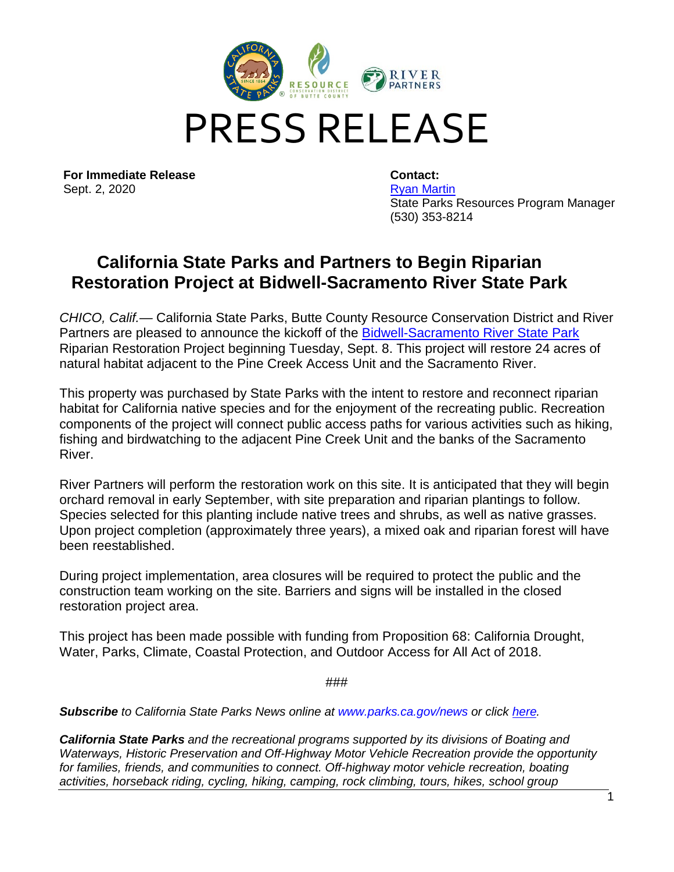

**For Immediate Release** Sept. 2, 2020

**Contact:** [Ryan Martin](mailto:ryan.martin@parks.ca.gov)  State Parks Resources Program Manager (530) 353-8214

## **California State Parks and Partners to Begin Riparian Restoration Project at Bidwell-Sacramento River State Park**

*CHICO, Calif.—* California State Parks, Butte County Resource Conservation District and River Partners are pleased to announce the kickoff of the [Bidwell-Sacramento River State Park](https://www.parks.ca.gov/?page_id=463) Riparian Restoration Project beginning Tuesday, Sept. 8. This project will restore 24 acres of natural habitat adjacent to the Pine Creek Access Unit and the Sacramento River.

This property was purchased by State Parks with the intent to restore and reconnect riparian habitat for California native species and for the enjoyment of the recreating public. Recreation components of the project will connect public access paths for various activities such as hiking, fishing and birdwatching to the adjacent Pine Creek Unit and the banks of the Sacramento River.

River Partners will perform the restoration work on this site. It is anticipated that they will begin orchard removal in early September, with site preparation and riparian plantings to follow. Species selected for this planting include native trees and shrubs, as well as native grasses. Upon project completion (approximately three years), a mixed oak and riparian forest will have been reestablished.

During project implementation, area closures will be required to protect the public and the construction team working on the site. Barriers and signs will be installed in the closed restoration project area.

This project has been made possible with funding from Proposition 68: California Drought, Water, Parks, Climate, Coastal Protection, and Outdoor Access for All Act of 2018.

###

*Subscribe to California State Parks News online at [www.parks.ca.gov/news](http://www.parks.ca.gov/news) or click [here.](https://signup.e2ma.net/signup/1867760/1810553/)* 

*California State Parks and the recreational programs supported by its divisions of Boating and Waterways, Historic Preservation and Off-Highway Motor Vehicle Recreation provide the opportunity*  for families, friends, and communities to connect. Off-highway motor vehicle recreation, boating *activities, horseback riding, cycling, hiking, camping, rock climbing, tours, hikes, school group*